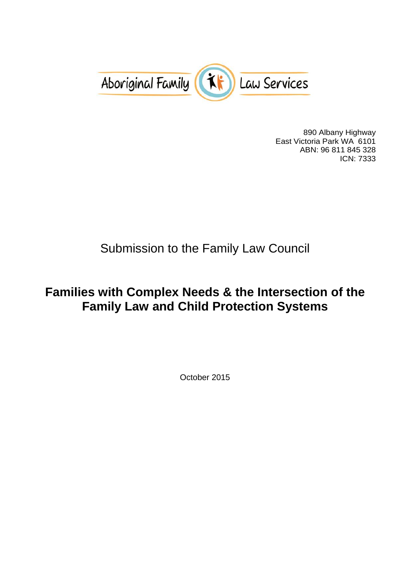

890 Albany Highway East Victoria Park WA 6101 ABN: 96 811 845 328 ICN: 7333

# Submission to the Family Law Council

## **Families with Complex Needs & the Intersection of the Family Law and Child Protection Systems**

October 2015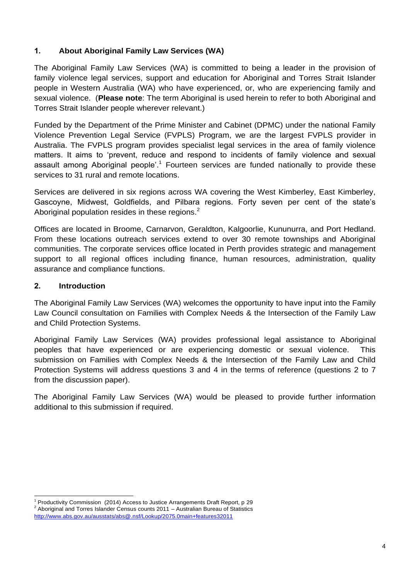## **1. About Aboriginal Family Law Services (WA)**

The Aboriginal Family Law Services (WA) is committed to being a leader in the provision of family violence legal services, support and education for Aboriginal and Torres Strait Islander people in Western Australia (WA) who have experienced, or, who are experiencing family and sexual violence. (**Please note**: The term Aboriginal is used herein to refer to both Aboriginal and Torres Strait Islander people wherever relevant.)

Funded by the Department of the Prime Minister and Cabinet (DPMC) under the national Family Violence Prevention Legal Service (FVPLS) Program, we are the largest FVPLS provider in Australia. The FVPLS program provides specialist legal services in the area of family violence matters. It aims to 'prevent, reduce and respond to incidents of family violence and sexual assault among Aboriginal people'.<sup>1</sup> Fourteen services are funded nationally to provide these services to 31 rural and remote locations.

Services are delivered in six regions across WA covering the West Kimberley, East Kimberley, Gascoyne, Midwest, Goldfields, and Pilbara regions. Forty seven per cent of the state's Aboriginal population resides in these regions. $2$ 

Offices are located in Broome, Carnarvon, Geraldton, Kalgoorlie, Kununurra, and Port Hedland. From these locations outreach services extend to over 30 remote townships and Aboriginal communities. The corporate services office located in Perth provides strategic and management support to all regional offices including finance, human resources, administration, quality assurance and compliance functions.

## **2. Introduction**

l

The Aboriginal Family Law Services (WA) welcomes the opportunity to have input into the Family Law Council consultation on Families with Complex Needs & the Intersection of the Family Law and Child Protection Systems.

Aboriginal Family Law Services (WA) provides professional legal assistance to Aboriginal peoples that have experienced or are experiencing domestic or sexual violence. submission on Families with Complex Needs & the Intersection of the Family Law and Child Protection Systems will address questions 3 and 4 in the terms of reference (questions 2 to 7 from the discussion paper).

The Aboriginal Family Law Services (WA) would be pleased to provide further information additional to this submission if required.

<sup>1</sup> Productivity Commission (2014) Access to Justice Arrangements Draft Report, p 29 2 Aboriginal and Torres Islander Census counts 2011 – Australian Bureau of Statistics <http://www.abs.gov.au/ausstats/abs@.nsf/Lookup/2075.0main+features32011>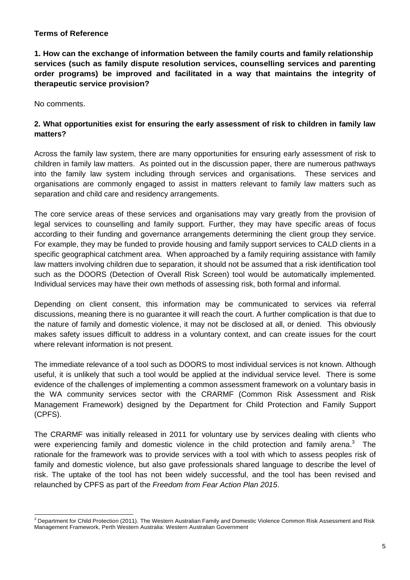#### **Terms of Reference**

**1. How can the exchange of information between the family courts and family relationship services (such as family dispute resolution services, counselling services and parenting order programs) be improved and facilitated in a way that maintains the integrity of therapeutic service provision?**

No comments.

### **2. What opportunities exist for ensuring the early assessment of risk to children in family law matters?**

Across the family law system, there are many opportunities for ensuring early assessment of risk to children in family law matters. As pointed out in the discussion paper, there are numerous pathways into the family law system including through services and organisations. These services and organisations are commonly engaged to assist in matters relevant to family law matters such as separation and child care and residency arrangements.

The core service areas of these services and organisations may vary greatly from the provision of legal services to counselling and family support. Further, they may have specific areas of focus according to their funding and governance arrangements determining the client group they service. For example, they may be funded to provide housing and family support services to CALD clients in a specific geographical catchment area. When approached by a family requiring assistance with family law matters involving children due to separation, it should not be assumed that a risk identification tool such as the DOORS (Detection of Overall Risk Screen) tool would be automatically implemented. Individual services may have their own methods of assessing risk, both formal and informal.

Depending on client consent, this information may be communicated to services via referral discussions, meaning there is no guarantee it will reach the court. A further complication is that due to the nature of family and domestic violence, it may not be disclosed at all, or denied. This obviously makes safety issues difficult to address in a voluntary context, and can create issues for the court where relevant information is not present.

The immediate relevance of a tool such as DOORS to most individual services is not known. Although useful, it is unlikely that such a tool would be applied at the individual service level. There is some evidence of the challenges of implementing a common assessment framework on a voluntary basis in the WA community services sector with the CRARMF (Common Risk Assessment and Risk Management Framework) designed by the Department for Child Protection and Family Support (CPFS).

The CRARMF was initially released in 2011 for voluntary use by services dealing with clients who were experiencing family and domestic violence in the child protection and family arena.<sup>3</sup> The rationale for the framework was to provide services with a tool with which to assess peoples risk of family and domestic violence, but also gave professionals shared language to describe the level of risk. The uptake of the tool has not been widely successful, and the tool has been revised and relaunched by CPFS as part of the *Freedom from Fear Action Plan 2015*.

l  $3$  Department for Child Protection (2011). The Western Australian Family and Domestic Violence Common Risk Assessment and Risk Management Framework, Perth Western Australia: Western Australian Government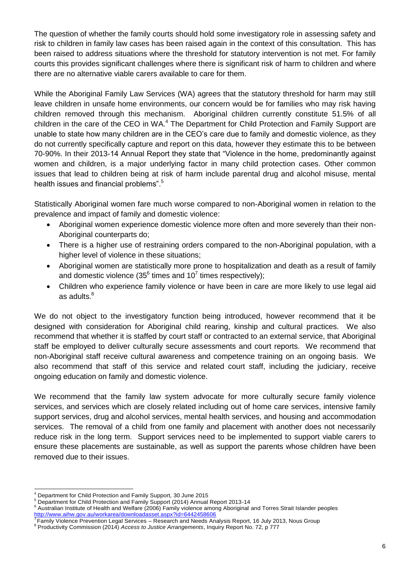The question of whether the family courts should hold some investigatory role in assessing safety and risk to children in family law cases has been raised again in the context of this consultation. This has been raised to address situations where the threshold for statutory intervention is not met. For family courts this provides significant challenges where there is significant risk of harm to children and where there are no alternative viable carers available to care for them.

While the Aboriginal Family Law Services (WA) agrees that the statutory threshold for harm may still leave children in unsafe home environments, our concern would be for families who may risk having children removed through this mechanism. Aboriginal children currently constitute 51.5% of all children in the care of the CEO in WA.<sup>4</sup> The Department for Child Protection and Family Support are unable to state how many children are in the CEO's care due to family and domestic violence, as they do not currently specifically capture and report on this data, however they estimate this to be between 70-90%. In their 2013-14 Annual Report they state that "Violence in the home, predominantly against women and children, is a major underlying factor in many child protection cases. Other common issues that lead to children being at risk of harm include parental drug and alcohol misuse, mental health issues and financial problems".<sup>5</sup>

Statistically Aboriginal women fare much worse compared to non-Aboriginal women in relation to the prevalence and impact of family and domestic violence:

- Aboriginal women experience domestic violence more often and more severely than their non-Aboriginal counterparts do;
- There is a higher use of restraining orders compared to the non-Aboriginal population, with a higher level of violence in these situations:
- Aboriginal women are statistically more prone to hospitalization and death as a result of family and domestic violence (35 $^6$  times and 10<sup>7</sup> times respectively);
- Children who experience family violence or have been in care are more likely to use legal aid as adults. $8$

We do not object to the investigatory function being introduced, however recommend that it be designed with consideration for Aboriginal child rearing, kinship and cultural practices. We also recommend that whether it is staffed by court staff or contracted to an external service, that Aboriginal staff be employed to deliver culturally secure assessments and court reports. We recommend that non-Aboriginal staff receive cultural awareness and competence training on an ongoing basis. We also recommend that staff of this service and related court staff, including the judiciary, receive ongoing education on family and domestic violence.

We recommend that the family law system advocate for more culturally secure family violence services, and services which are closely related including out of home care services, intensive family support services, drug and alcohol services, mental health services, and housing and accommodation services. The removal of a child from one family and placement with another does not necessarily reduce risk in the long term. Support services need to be implemented to support viable carers to ensure these placements are sustainable, as well as support the parents whose children have been removed due to their issues.

 <sup>4</sup> Department for Child Protection and Family Support, 30 June 2015

<sup>5</sup> Department for Child Protection and Family Support (2014) Annual Report 2013-14

<sup>6</sup> Australian Institute of Health and Welfare (2006) Family violence among Aboriginal and Torres Strait Islander peoples <u><http://www.aihw.gov.au/workarea/downloadasset.aspx?id=6442458606></u><br><sup>7</sup> Family Violence Prevention Legal Services – Research and Needs Analysis Report, 16 July 2013, Nous Group

<sup>8</sup> Productivity Commission (2014) *Access to Justice Arrangements*, Inquiry Report No. 72, p 777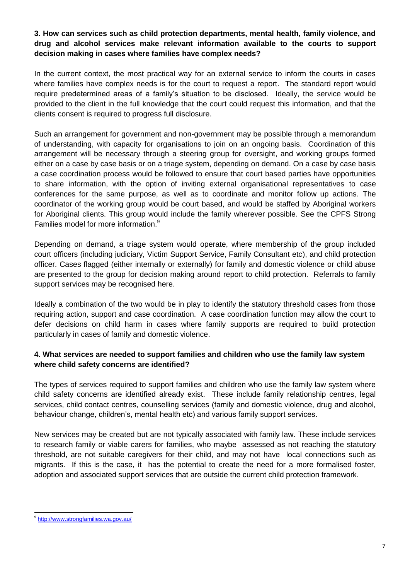### **3. How can services such as child protection departments, mental health, family violence, and drug and alcohol services make relevant information available to the courts to support decision making in cases where families have complex needs?**

In the current context, the most practical way for an external service to inform the courts in cases where families have complex needs is for the court to request a report. The standard report would require predetermined areas of a family's situation to be disclosed. Ideally, the service would be provided to the client in the full knowledge that the court could request this information, and that the clients consent is required to progress full disclosure.

Such an arrangement for government and non-government may be possible through a memorandum of understanding, with capacity for organisations to join on an ongoing basis. Coordination of this arrangement will be necessary through a steering group for oversight, and working groups formed either on a case by case basis or on a triage system, depending on demand. On a case by case basis a case coordination process would be followed to ensure that court based parties have opportunities to share information, with the option of inviting external organisational representatives to case conferences for the same purpose, as well as to coordinate and monitor follow up actions. The coordinator of the working group would be court based, and would be staffed by Aboriginal workers for Aboriginal clients. This group would include the family wherever possible. See the CPFS Strong Families model for more information.<sup>9</sup>

Depending on demand, a triage system would operate, where membership of the group included court officers (including judiciary, Victim Support Service, Family Consultant etc), and child protection officer. Cases flagged (either internally or externally) for family and domestic violence or child abuse are presented to the group for decision making around report to child protection. Referrals to family support services may be recognised here.

Ideally a combination of the two would be in play to identify the statutory threshold cases from those requiring action, support and case coordination. A case coordination function may allow the court to defer decisions on child harm in cases where family supports are required to build protection particularly in cases of family and domestic violence.

### **4. What services are needed to support families and children who use the family law system where child safety concerns are identified?**

The types of services required to support families and children who use the family law system where child safety concerns are identified already exist. These include family relationship centres, legal services, child contact centres, counselling services (family and domestic violence, drug and alcohol, behaviour change, children's, mental health etc) and various family support services.

New services may be created but are not typically associated with family law. These include services to research family or viable carers for families, who maybe assessed as not reaching the statutory threshold, are not suitable caregivers for their child, and may not have local connections such as migrants. If this is the case, it has the potential to create the need for a more formalised foster, adoption and associated support services that are outside the current child protection framework.

l <sup>9</sup><http://www.strongfamilies.wa.gov.au/>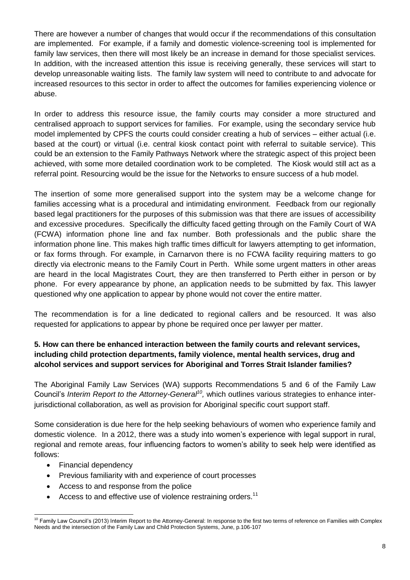There are however a number of changes that would occur if the recommendations of this consultation are implemented. For example, if a family and domestic violence-screening tool is implemented for family law services, then there will most likely be an increase in demand for those specialist services. In addition, with the increased attention this issue is receiving generally, these services will start to develop unreasonable waiting lists. The family law system will need to contribute to and advocate for increased resources to this sector in order to affect the outcomes for families experiencing violence or abuse.

In order to address this resource issue, the family courts may consider a more structured and centralised approach to support services for families. For example, using the secondary service hub model implemented by CPFS the courts could consider creating a hub of services – either actual (i.e. based at the court) or virtual (i.e. central kiosk contact point with referral to suitable service). This could be an extension to the Family Pathways Network where the strategic aspect of this project been achieved, with some more detailed coordination work to be completed. The Kiosk would still act as a referral point. Resourcing would be the issue for the Networks to ensure success of a hub model.

The insertion of some more generalised support into the system may be a welcome change for families accessing what is a procedural and intimidating environment. Feedback from our regionally based legal practitioners for the purposes of this submission was that there are issues of accessibility and excessive procedures. Specifically the difficulty faced getting through on the Family Court of WA (FCWA) information phone line and fax number. Both professionals and the public share the information phone line. This makes high traffic times difficult for lawyers attempting to get information, or fax forms through. For example, in Carnarvon there is no FCWA facility requiring matters to go directly via electronic means to the Family Court in Perth. While some urgent matters in other areas are heard in the local Magistrates Court, they are then transferred to Perth either in person or by phone. For every appearance by phone, an application needs to be submitted by fax. This lawyer questioned why one application to appear by phone would not cover the entire matter.

The recommendation is for a line dedicated to regional callers and be resourced. It was also requested for applications to appear by phone be required once per lawyer per matter.

## **5. How can there be enhanced interaction between the family courts and relevant services, including child protection departments, family violence, mental health services, drug and alcohol services and support services for Aboriginal and Torres Strait Islander families?**

The Aboriginal Family Law Services (WA) supports Recommendations 5 and 6 of the Family Law Council's *Interim Report to the Attorney-General<sup>10</sup> ,* which outlines various strategies to enhance interjurisdictional collaboration, as well as provision for Aboriginal specific court support staff.

Some consideration is due here for the help seeking behaviours of women who experience family and domestic violence. In a 2012, there was a study into women's experience with legal support in rural, regional and remote areas, four influencing factors to women's ability to seek help were identified as follows:

- Financial dependency
- Previous familiarity with and experience of court processes
- Access to and response from the police
- Access to and effective use of violence restraining orders.<sup>11</sup>

l  $10$  Family Law Council's (2013) Interim Report to the Attorney-General: In response to the first two terms of reference on Families with Complex Needs and the intersection of the Family Law and Child Protection Systems, June, p.106-107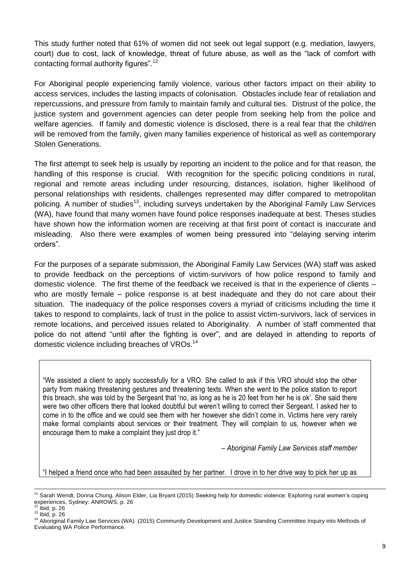This study further noted that 61% of women did not seek out legal support (e.g. mediation, lawyers, court) due to cost, lack of knowledge, threat of future abuse, as well as the "lack of comfort with contacting formal authority figures".<sup>12</sup>

For Aboriginal people experiencing family violence, various other factors impact on their ability to access services, includes the lasting impacts of colonisation. Obstacles include fear of retaliation and repercussions, and pressure from family to maintain family and cultural ties. Distrust of the police, the justice system and government agencies can deter people from seeking help from the police and welfare agencies. If family and domestic violence is disclosed, there is a real fear that the child/ren will be removed from the family, given many families experience of historical as well as contemporary Stolen Generations.

The first attempt to seek help is usually by reporting an incident to the police and for that reason, the handling of this response is crucial. With recognition for the specific policing conditions in rural, regional and remote areas including under resourcing, distances, isolation, higher likelihood of personal relationships with residents, challenges represented may differ compared to metropolitan policing. A number of studies<sup>13</sup>, including surveys undertaken by the Aboriginal Family Law Services (WA), have found that many women have found police responses inadequate at best. Theses studies have shown how the information women are receiving at that first point of contact is inaccurate and misleading. Also there were examples of women being pressured into "delaying serving interim orders".

For the purposes of a separate submission, the Aboriginal Family Law Services (WA) staff was asked to provide feedback on the perceptions of victim-survivors of how police respond to family and domestic violence. The first theme of the feedback we received is that in the experience of clients – who are mostly female – police response is at best inadequate and they do not care about their situation. The inadequacy of the police responses covers a myriad of criticisms including the time it takes to respond to complaints, lack of trust in the police to assist victim-survivors, lack of services in remote locations, and perceived issues related to Aboriginality. A number of staff commented that police do not attend "until after the fighting is over", and are delayed in attending to reports of domestic violence including breaches of VROs. $^{14}$ 

"We assisted a client to apply successfully for a VRO. She called to ask if this VRO should stop the other party from making threatening gestures and threatening texts. When she went to the police station to report this breach, she was told by the Sergeant that 'no, as long as he is 20 feet from her he is ok'. She said there were two other officers there that looked doubtful but weren't willing to correct their Sergeant. I asked her to come in to the office and we could see them with her however she didn't come in. Victims here very rarely make formal complaints about services or their treatment. They will complain to us, however when we encourage them to make a complaint they just drop it."

*– Aboriginal Family Law Services staff member*

"I helped a friend once who had been assaulted by her partner. I drove in to her drive way to pick her up as

 <sup>11</sup> Sarah Wendt, Donna Chung, Alison Elder, Lia Bryant (2015) Seeking help for domestic violence: Exploring rural women's coping experiences, Sydney: ANROWS, p. 26

ibid, p. 26

 $13$  Ibid, p. 26

<sup>14</sup> Aboriginal Family Law Services (WA) (2015) Community Development and Justice Standing Committee Inquiry into Methods of Evaluating WA Police Performance.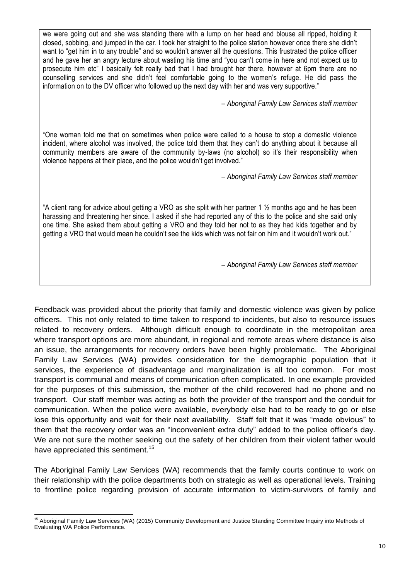we were going out and she was standing there with a lump on her head and blouse all ripped, holding it closed, sobbing, and jumped in the car. I took her straight to the police station however once there she didn't want to "get him in to any trouble" and so wouldn't answer all the questions. This frustrated the police officer and he gave her an angry lecture about wasting his time and "you can't come in here and not expect us to prosecute him etc" I basically felt really bad that I had brought her there, however at 6pm there are no counselling services and she didn't feel comfortable going to the women's refuge. He did pass the information on to the DV officer who followed up the next day with her and was very supportive."

*– Aboriginal Family Law Services staff member*

"One woman told me that on sometimes when police were called to a house to stop a domestic violence incident, where alcohol was involved, the police told them that they can't do anything about it because all community members are aware of the community by-laws (no alcohol) so it's their responsibility when violence happens at their place, and the police wouldn't get involved."

*– Aboriginal Family Law Services staff member*

"A client rang for advice about getting a VRO as she split with her partner 1 ½ months ago and he has been harassing and threatening her since. I asked if she had reported any of this to the police and she said only one time. She asked them about getting a VRO and they told her not to as they had kids together and by getting a VRO that would mean he couldn't see the kids which was not fair on him and it wouldn't work out."

*– Aboriginal Family Law Services staff member*

Feedback was provided about the priority that family and domestic violence was given by police officers. This not only related to time taken to respond to incidents, but also to resource issues related to recovery orders. Although difficult enough to coordinate in the metropolitan area where transport options are more abundant, in regional and remote areas where distance is also an issue, the arrangements for recovery orders have been highly problematic. The Aboriginal Family Law Services (WA) provides consideration for the demographic population that it services, the experience of disadvantage and marginalization is all too common. For most transport is communal and means of communication often complicated. In one example provided for the purposes of this submission, the mother of the child recovered had no phone and no transport. Our staff member was acting as both the provider of the transport and the conduit for communication. When the police were available, everybody else had to be ready to go or else lose this opportunity and wait for their next availability. Staff felt that it was "made obvious" to them that the recovery order was an "inconvenient extra duty" added to the police officer's day. We are not sure the mother seeking out the safety of her children from their violent father would have appreciated this sentiment.<sup>15</sup>

The Aboriginal Family Law Services (WA) recommends that the family courts continue to work on their relationship with the police departments both on strategic as well as operational levels. Training to frontline police regarding provision of accurate information to victim-survivors of family and

l <sup>15</sup> Aboriginal Family Law Services (WA) (2015) Community Development and Justice Standing Committee Inquiry into Methods of Evaluating WA Police Performance.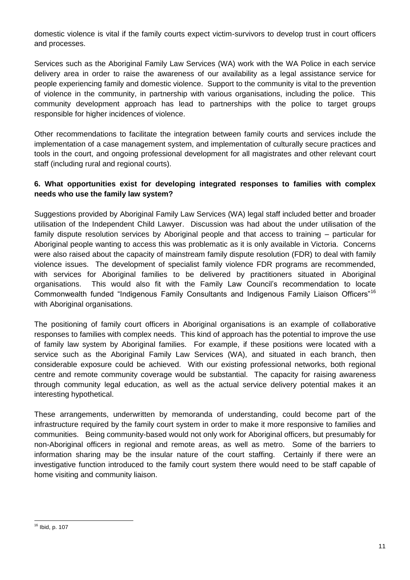domestic violence is vital if the family courts expect victim-survivors to develop trust in court officers and processes.

Services such as the Aboriginal Family Law Services (WA) work with the WA Police in each service delivery area in order to raise the awareness of our availability as a legal assistance service for people experiencing family and domestic violence. Support to the community is vital to the prevention of violence in the community, in partnership with various organisations, including the police. This community development approach has lead to partnerships with the police to target groups responsible for higher incidences of violence.

Other recommendations to facilitate the integration between family courts and services include the implementation of a case management system, and implementation of culturally secure practices and tools in the court, and ongoing professional development for all magistrates and other relevant court staff (including rural and regional courts).

## **6. What opportunities exist for developing integrated responses to families with complex needs who use the family law system?**

Suggestions provided by Aboriginal Family Law Services (WA) legal staff included better and broader utilisation of the Independent Child Lawyer. Discussion was had about the under utilisation of the family dispute resolution services by Aboriginal people and that access to training – particular for Aboriginal people wanting to access this was problematic as it is only available in Victoria. Concerns were also raised about the capacity of mainstream family dispute resolution (FDR) to deal with family violence issues. The development of specialist family violence FDR programs are recommended, with services for Aboriginal families to be delivered by practitioners situated in Aboriginal organisations. This would also fit with the Family Law Council's recommendation to locate Commonwealth funded "Indigenous Family Consultants and Indigenous Family Liaison Officers"<sup>16</sup> with Aboriginal organisations.

The positioning of family court officers in Aboriginal organisations is an example of collaborative responses to families with complex needs. This kind of approach has the potential to improve the use of family law system by Aboriginal families. For example, if these positions were located with a service such as the Aboriginal Family Law Services (WA), and situated in each branch, then considerable exposure could be achieved. With our existing professional networks, both regional centre and remote community coverage would be substantial. The capacity for raising awareness through community legal education, as well as the actual service delivery potential makes it an interesting hypothetical.

These arrangements, underwritten by memoranda of understanding, could become part of the infrastructure required by the family court system in order to make it more responsive to families and communities. Being community-based would not only work for Aboriginal officers, but presumably for non-Aboriginal officers in regional and remote areas, as well as metro. Some of the barriers to information sharing may be the insular nature of the court staffing. Certainly if there were an investigative function introduced to the family court system there would need to be staff capable of home visiting and community liaison.

 $\overline{a}$ <sup>16</sup> Ibid, p. 107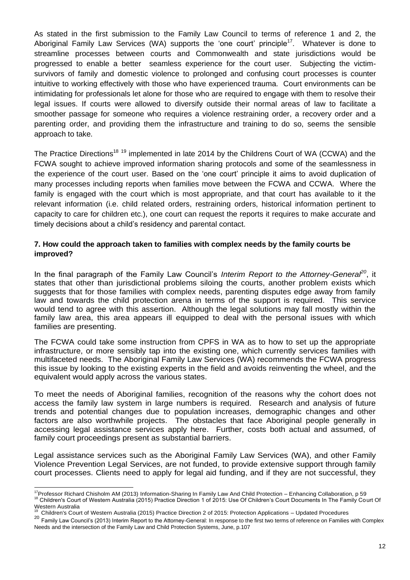As stated in the first submission to the Family Law Council to terms of reference 1 and 2, the Aboriginal Family Law Services (WA) supports the 'one court' principle<sup>17</sup>. Whatever is done to streamline processes between courts and Commonwealth and state jurisdictions would be progressed to enable a better seamless experience for the court user. Subjecting the victimsurvivors of family and domestic violence to prolonged and confusing court processes is counter intuitive to working effectively with those who have experienced trauma. Court environments can be intimidating for professionals let alone for those who are required to engage with them to resolve their legal issues. If courts were allowed to diversify outside their normal areas of law to facilitate a smoother passage for someone who requires a violence restraining order, a recovery order and a parenting order, and providing them the infrastructure and training to do so, seems the sensible approach to take.

The Practice Directions<sup>18 19</sup> implemented in late 2014 by the Childrens Court of WA (CCWA) and the FCWA sought to achieve improved information sharing protocols and some of the seamlessness in the experience of the court user. Based on the 'one court' principle it aims to avoid duplication of many processes including reports when families move between the FCWA and CCWA. Where the family is engaged with the court which is most appropriate, and that court has available to it the relevant information (i.e. child related orders, restraining orders, historical information pertinent to capacity to care for children etc.), one court can request the reports it requires to make accurate and timely decisions about a child's residency and parental contact.

#### **7. How could the approach taken to families with complex needs by the family courts be improved?**

In the final paragraph of the Family Law Council's *Interim Report to the Attorney-General<sup>20</sup>*, it states that other than jurisdictional problems siloing the courts, another problem exists which suggests that for those families with complex needs, parenting disputes edge away from family law and towards the child protection arena in terms of the support is required. This service would tend to agree with this assertion. Although the legal solutions may fall mostly within the family law area, this area appears ill equipped to deal with the personal issues with which families are presenting.

The FCWA could take some instruction from CPFS in WA as to how to set up the appropriate infrastructure, or more sensibly tap into the existing one, which currently services families with multifaceted needs. The Aboriginal Family Law Services (WA) recommends the FCWA progress this issue by looking to the existing experts in the field and avoids reinventing the wheel, and the equivalent would apply across the various states.

To meet the needs of Aboriginal families, recognition of the reasons why the cohort does not access the family law system in large numbers is required. Research and analysis of future trends and potential changes due to population increases, demographic changes and other factors are also worthwhile projects. The obstacles that face Aboriginal people generally in accessing legal assistance services apply here. Further, costs both actual and assumed, of family court proceedings present as substantial barriers.

Legal assistance services such as the Aboriginal Family Law Services (WA), and other Family Violence Prevention Legal Services, are not funded, to provide extensive support through family court processes. Clients need to apply for legal aid funding, and if they are not successful, they

 $\overline{a}$ 

<sup>&</sup>lt;sup>17</sup>Professor Richard Chisholm AM (2013) Information-Sharing In Family Law And Child Protection – Enhancing Collaboration, p 59 <sup>18</sup> Children's Court of Western Australia (2015) Practice Direction 1 of 2015: Use Of Children's Court Documents In The Family Court Of Western Australia

<sup>19</sup> Children's Court of Western Australia (2015) Practice Direction 2 of 2015: Protection Applications – Updated Procedures

<sup>&</sup>lt;sup>20</sup> Family Law Council's (2013) Interim Report to the Attorney-General: In response to the first two terms of reference on Families with Complex Needs and the intersection of the Family Law and Child Protection Systems, June, p.107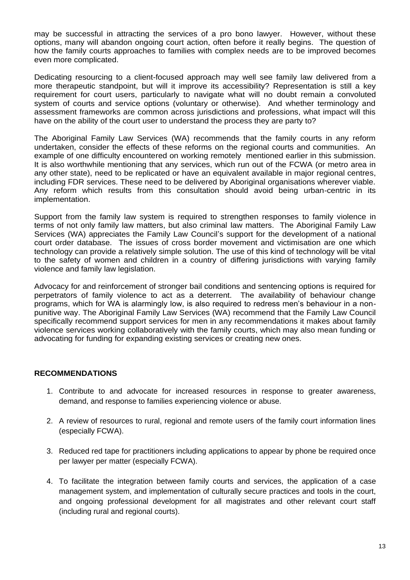may be successful in attracting the services of a pro bono lawyer. However, without these options, many will abandon ongoing court action, often before it really begins. The question of how the family courts approaches to families with complex needs are to be improved becomes even more complicated.

Dedicating resourcing to a client-focused approach may well see family law delivered from a more therapeutic standpoint, but will it improve its accessibility? Representation is still a key requirement for court users, particularly to navigate what will no doubt remain a convoluted system of courts and service options (voluntary or otherwise). And whether terminology and assessment frameworks are common across jurisdictions and professions, what impact will this have on the ability of the court user to understand the process they are party to?

The Aboriginal Family Law Services (WA) recommends that the family courts in any reform undertaken, consider the effects of these reforms on the regional courts and communities. An example of one difficulty encountered on working remotely mentioned earlier in this submission. It is also worthwhile mentioning that any services, which run out of the FCWA (or metro area in any other state), need to be replicated or have an equivalent available in major regional centres, including FDR services. These need to be delivered by Aboriginal organisations wherever viable. Any reform which results from this consultation should avoid being urban-centric in its implementation.

Support from the family law system is required to strengthen responses to family violence in terms of not only family law matters, but also criminal law matters. The Aboriginal Family Law Services (WA) appreciates the Family Law Council's support for the development of a national court order database. The issues of cross border movement and victimisation are one which technology can provide a relatively simple solution. The use of this kind of technology will be vital to the safety of women and children in a country of differing jurisdictions with varying family violence and family law legislation.

Advocacy for and reinforcement of stronger bail conditions and sentencing options is required for perpetrators of family violence to act as a deterrent. The availability of behaviour change programs, which for WA is alarmingly low, is also required to redress men's behaviour in a nonpunitive way. The Aboriginal Family Law Services (WA) recommend that the Family Law Council specifically recommend support services for men in any recommendations it makes about family violence services working collaboratively with the family courts, which may also mean funding or advocating for funding for expanding existing services or creating new ones.

### **RECOMMENDATIONS**

- 1. Contribute to and advocate for increased resources in response to greater awareness, demand, and response to families experiencing violence or abuse.
- 2. A review of resources to rural, regional and remote users of the family court information lines (especially FCWA).
- 3. Reduced red tape for practitioners including applications to appear by phone be required once per lawyer per matter (especially FCWA).
- 4. To facilitate the integration between family courts and services, the application of a case management system, and implementation of culturally secure practices and tools in the court, and ongoing professional development for all magistrates and other relevant court staff (including rural and regional courts).